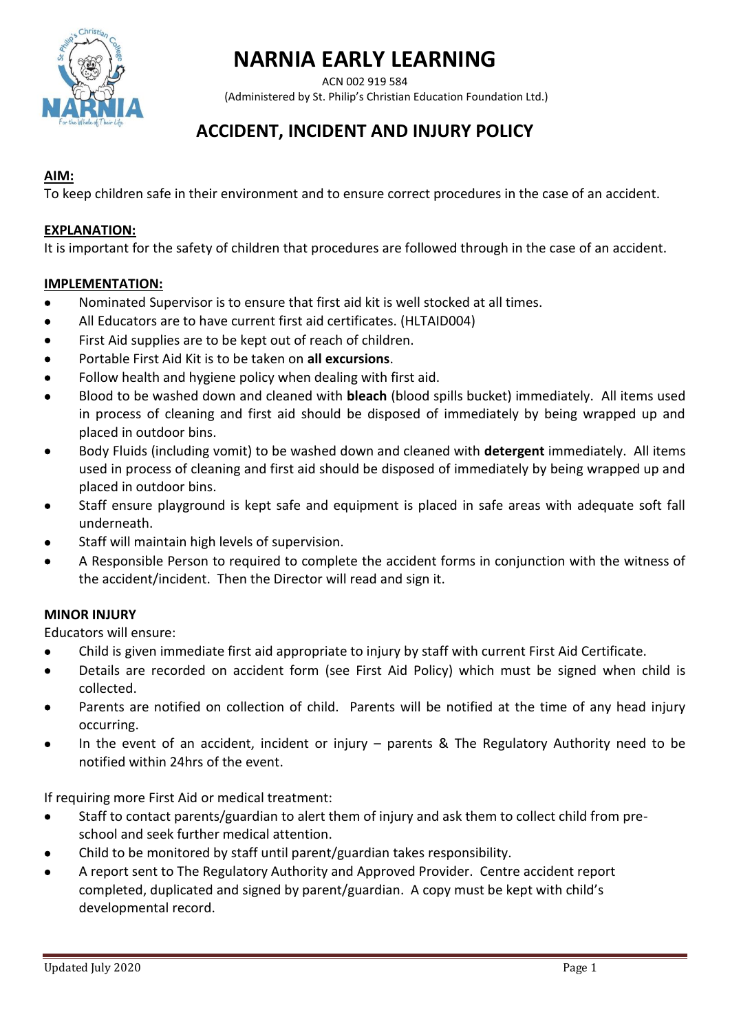

ACN 002 919 584

(Administered by St. Philip's Christian Education Foundation Ltd.)

# **ACCIDENT, INCIDENT AND INJURY POLICY**

## **AIM:**

To keep children safe in their environment and to ensure correct procedures in the case of an accident.

### **EXPLANATION:**

It is important for the safety of children that procedures are followed through in the case of an accident.

## **IMPLEMENTATION:**

- Nominated Supervisor is to ensure that first aid kit is well stocked at all times.
- All Educators are to have current first aid certificates. (HLTAID004)
- First Aid supplies are to be kept out of reach of children.
- Portable First Aid Kit is to be taken on **all excursions**.
- Follow health and hygiene policy when dealing with first aid.
- Blood to be washed down and cleaned with **bleach** (blood spills bucket) immediately. All items used in process of cleaning and first aid should be disposed of immediately by being wrapped up and placed in outdoor bins.
- Body Fluids (including vomit) to be washed down and cleaned with **detergent** immediately. All items used in process of cleaning and first aid should be disposed of immediately by being wrapped up and placed in outdoor bins.
- Staff ensure playground is kept safe and equipment is placed in safe areas with adequate soft fall underneath.
- Staff will maintain high levels of supervision.
- A Responsible Person to required to complete the accident forms in conjunction with the witness of the accident/incident. Then the Director will read and sign it.

### **MINOR INJURY**

Educators will ensure:

- Child is given immediate first aid appropriate to injury by staff with current First Aid Certificate.
- Details are recorded on accident form (see First Aid Policy) which must be signed when child is collected.
- Parents are notified on collection of child. Parents will be notified at the time of any head injury occurring.
- In the event of an accident, incident or injury parents & The Regulatory Authority need to be notified within 24hrs of the event.

If requiring more First Aid or medical treatment:

- Staff to contact parents/guardian to alert them of injury and ask them to collect child from preschool and seek further medical attention.
- Child to be monitored by staff until parent/guardian takes responsibility.
- A report sent to The Regulatory Authority and Approved Provider. Centre accident report completed, duplicated and signed by parent/guardian. A copy must be kept with child's developmental record.